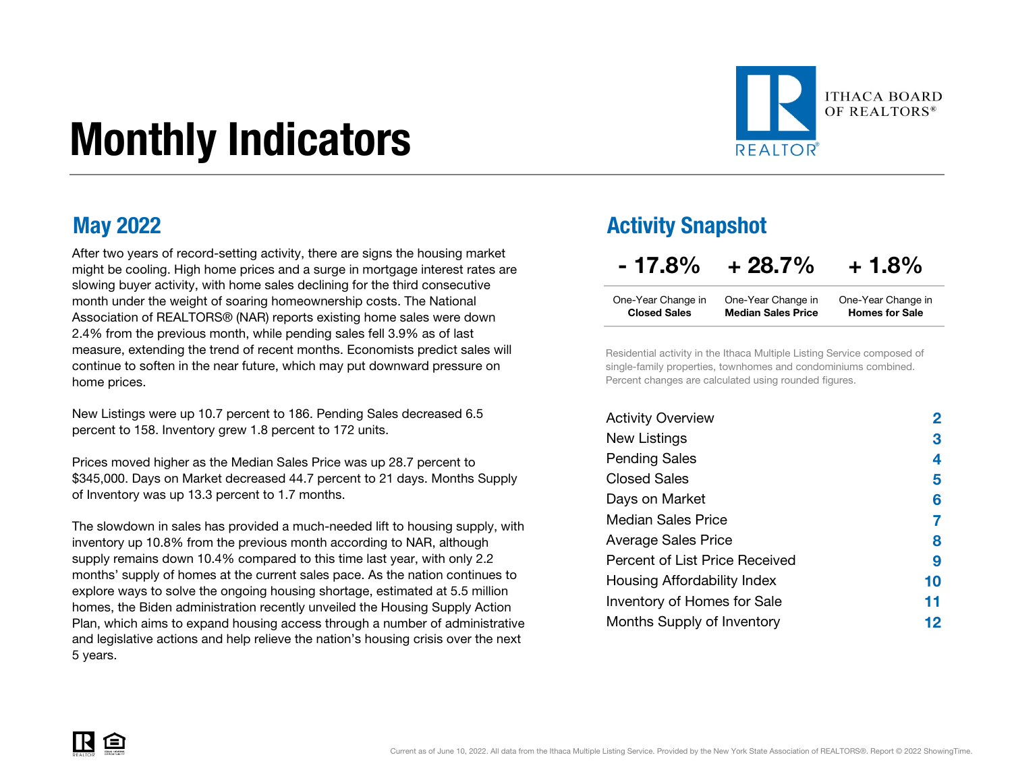# Monthly Indicators



After two years of record-setting activity, there are signs the housing market might be cooling. High home prices and a surge in mortgage interest rates are slowing buyer activity, with home sales declining for the third consecutive month under the weight of soaring homeownership costs. The National Association of REALTORS® (NAR) reports existing home sales were down 2.4% from the previous month, while pending sales fell 3.9% as of last measure, extending the trend of recent months. Economists predict sales will continue to soften in the near future, which may put downward pressure on home prices.

New Listings were up 10.7 percent to 186. Pending Sales decreased 6.5 percent to 158. Inventory grew 1.8 percent to 172 units.

Prices moved higher as the Median Sales Price was up 28.7 percent to \$345,000. Days on Market decreased 44.7 percent to 21 days. Months Supply of Inventory was up 13.3 percent to 1.7 months.

The slowdown in sales has provided a much-needed lift to housing supply, with inventory up 10.8% from the previous month according to NAR, although supply remains down 10.4% compared to this time last year, with only 2.2 months' supply of homes at the current sales pace. As the nation continues to explore ways to solve the ongoing housing shortage, estimated at 5.5 million homes, the Biden administration recently unveiled the Housing Supply Action Plan, which aims to expand housing access through a number of administrative and legislative actions and help relieve the nation's housing crisis over the next 5 years.

### May 2022 **Activity Snapshot**

| $-17.8%$ | $+28.7\%$ | $+1.8%$ |
|----------|-----------|---------|
|----------|-----------|---------|

| One-Year Change in  | One-Year Change in        | One-Year Change in    |
|---------------------|---------------------------|-----------------------|
| <b>Closed Sales</b> | <b>Median Sales Price</b> | <b>Homes for Sale</b> |

Residential activity in the Ithaca Multiple Listing Service composed of single-family properties, townhomes and condominiums combined. Percent changes are calculated using rounded figures.

| <b>Activity Overview</b>       |    |
|--------------------------------|----|
| New Listings                   | 3  |
| <b>Pending Sales</b>           | 4  |
| Closed Sales                   | 5  |
| Days on Market                 | 6  |
| Median Sales Price             |    |
| <b>Average Sales Price</b>     | 8  |
| Percent of List Price Received | 9  |
| Housing Affordability Index    | 10 |
| Inventory of Homes for Sale    | 11 |
| Months Supply of Inventory     | 12 |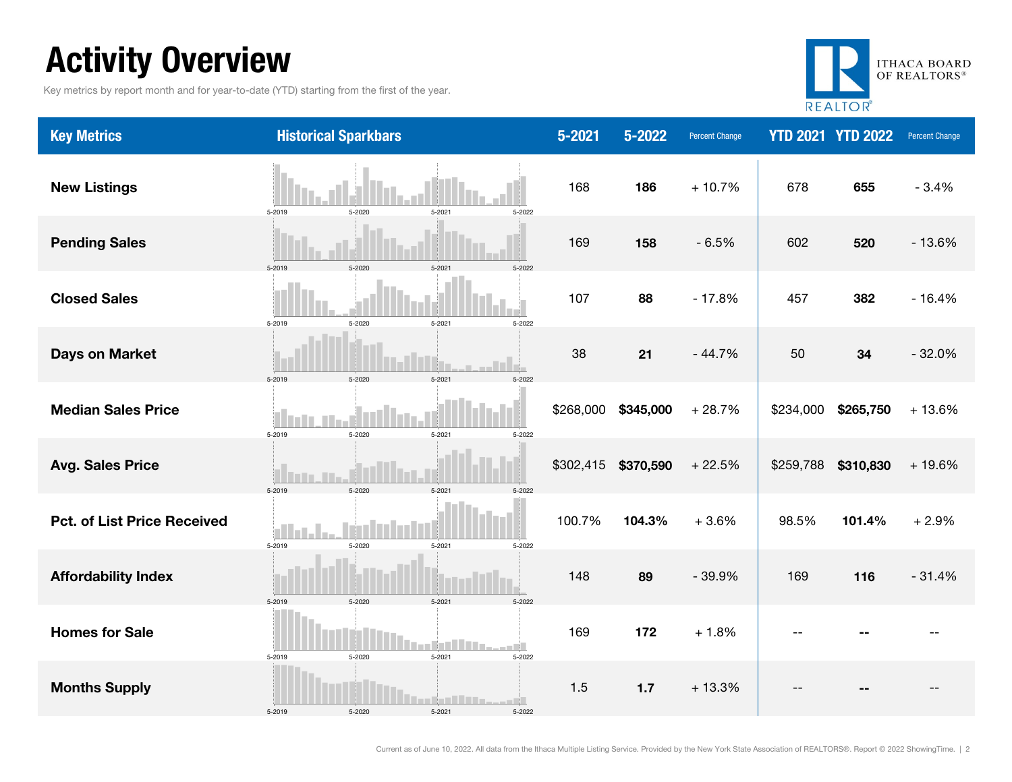### Activity Overview

Key metrics by report month and for year-to-date (YTD) starting from the first of the year.



| <b>Key Metrics</b>                 | <b>Historical Sparkbars</b>                           | $5 - 2021$ | 5-2022    | <b>Percent Change</b> |           | <b>YTD 2021 YTD 2022</b> | Percent Change |
|------------------------------------|-------------------------------------------------------|------------|-----------|-----------------------|-----------|--------------------------|----------------|
| <b>New Listings</b>                | 5-2020<br>5-2021<br>5-2022<br>5-2019                  | 168        | 186       | $+10.7%$              | 678       | 655                      | $-3.4%$        |
| <b>Pending Sales</b>               | 5-2019<br>5-2020<br>5-2021<br>5-2022                  | 169        | 158       | $-6.5%$               | 602       | 520                      | $-13.6%$       |
| <b>Closed Sales</b>                | 5-2019<br>5-2021<br>5-2022<br>5-2020                  | 107        | 88        | $-17.8%$              | 457       | 382                      | $-16.4%$       |
| <b>Days on Market</b>              | 5-2021<br>5-2019<br>5-2020<br>5-2022                  | 38         | 21        | $-44.7%$              | 50        | 34                       | $-32.0%$       |
| <b>Median Sales Price</b>          | 5-2019<br>5-2020<br>5-2021<br>5-2022                  | \$268,000  | \$345,000 | $+28.7%$              | \$234,000 | \$265,750                | $+13.6%$       |
| <b>Avg. Sales Price</b>            | 5-2019<br>5-2020<br>5-2021<br>5-2022                  | \$302,415  | \$370,590 | $+22.5%$              | \$259,788 | \$310,830                | $+19.6%$       |
| <b>Pct. of List Price Received</b> | 5-2019<br>5-2020<br>5-2021<br>5-2022                  | 100.7%     | 104.3%    | $+3.6%$               | 98.5%     | 101.4%                   | $+2.9%$        |
| <b>Affordability Index</b>         | 5-2020<br>5-2021<br>5-2019<br>5-2022                  | 148        | 89        | $-39.9%$              | 169       | 116                      | $-31.4%$       |
| <b>Homes for Sale</b>              | 5-2019<br>5-2020<br>5-2021<br>5-2022                  | 169        | 172       | $+1.8%$               |           |                          |                |
| <b>Months Supply</b>               | and the state<br>5-2019<br>5-2020<br>5-2021<br>5-2022 | 1.5        | $1.7$     | $+13.3%$              |           |                          |                |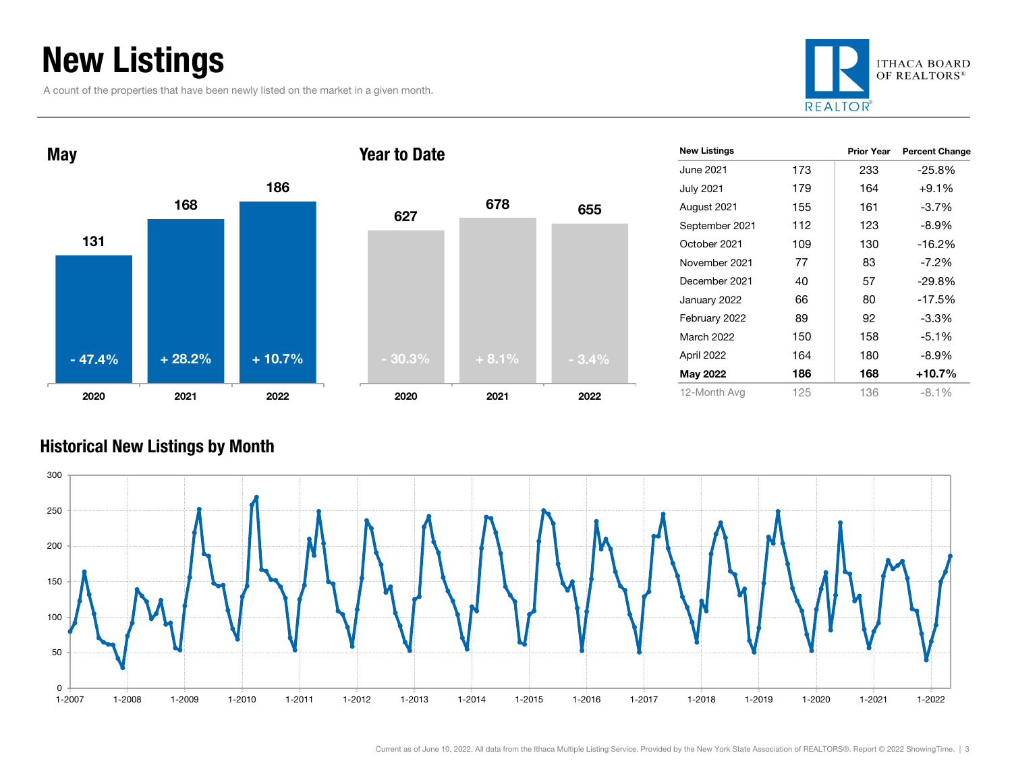### New Listings

A count of the properties that have been newly listed on the market in a given month.







| <b>New Listings</b> |     | <b>Prior Year</b> | <b>Percent Change</b> |
|---------------------|-----|-------------------|-----------------------|
| June 2021 <b>.</b>  | 173 | 233               | $-25.8%$              |
| July 2021           | 179 | 164               | $+9.1\%$              |
| August 2021         | 155 | 161               | $-3.7\%$              |
| September 2021      | 112 | 123               | $-8.9\%$              |
| October 2021        | 109 | 130               | $-16.2%$              |
| November 2021       | 77  | 83                | $-7.2\%$              |
| December 2021       | 40  | 57                | $-29.8%$              |
| January 2022        | 66  | 80                | $-17.5%$              |
| February 2022       | 89  | 92                | $-3.3%$               |
| <b>March 2022</b>   | 150 | 158               | $-5.1%$               |
| April 2022          | 164 | 180               | $-8.9\%$              |
| <b>May 2022</b>     | 186 | 168               | +10.7%                |
| 12-Month Avg        | 125 | 136               | $-8.1\%$              |

#### Historical New Listings by Month

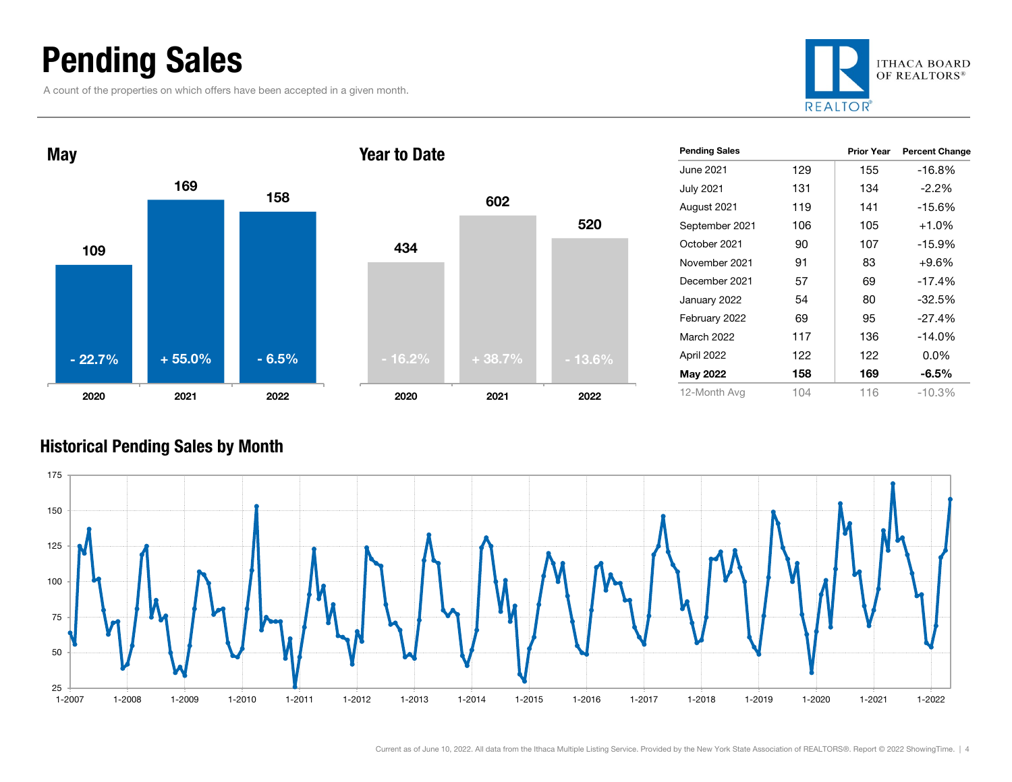### Pending Sales

A count of the properties on which offers have been accepted in a given month.





|          | 602      |          |
|----------|----------|----------|
| 434      |          | 520      |
|          |          |          |
|          |          |          |
| $-16.2%$ | $+38.7%$ | $-13.6%$ |
| 2020     | 2021     | 2022     |

| <b>Pending Sales</b> |     | <b>Prior Year</b> | <b>Percent Change</b> |
|----------------------|-----|-------------------|-----------------------|
| June 2021.           | 129 | 155               | -16.8%                |
| <b>July 2021</b>     | 131 | 134               | $-2.2%$               |
| August 2021          | 119 | 141               | $-15.6%$              |
| September 2021       | 106 | 105               | $+1.0%$               |
| October 2021         | 90  | 107               | $-15.9%$              |
| November 2021        | 91  | 83                | +9.6%                 |
| December 2021        | 57  | 69                | $-17.4%$              |
| January 2022         | 54  | 80                | $-32.5%$              |
| February 2022        | 69  | 95                | $-27.4%$              |
| March 2022           | 117 | 136               | $-14.0%$              |
| April 2022           | 122 | 122               | $0.0\%$               |
| <b>May 2022</b>      | 158 | 169               | $-6.5%$               |
| 12-Month Avg         | 104 | 116               | $-10.3%$              |

#### Historical Pending Sales by Month

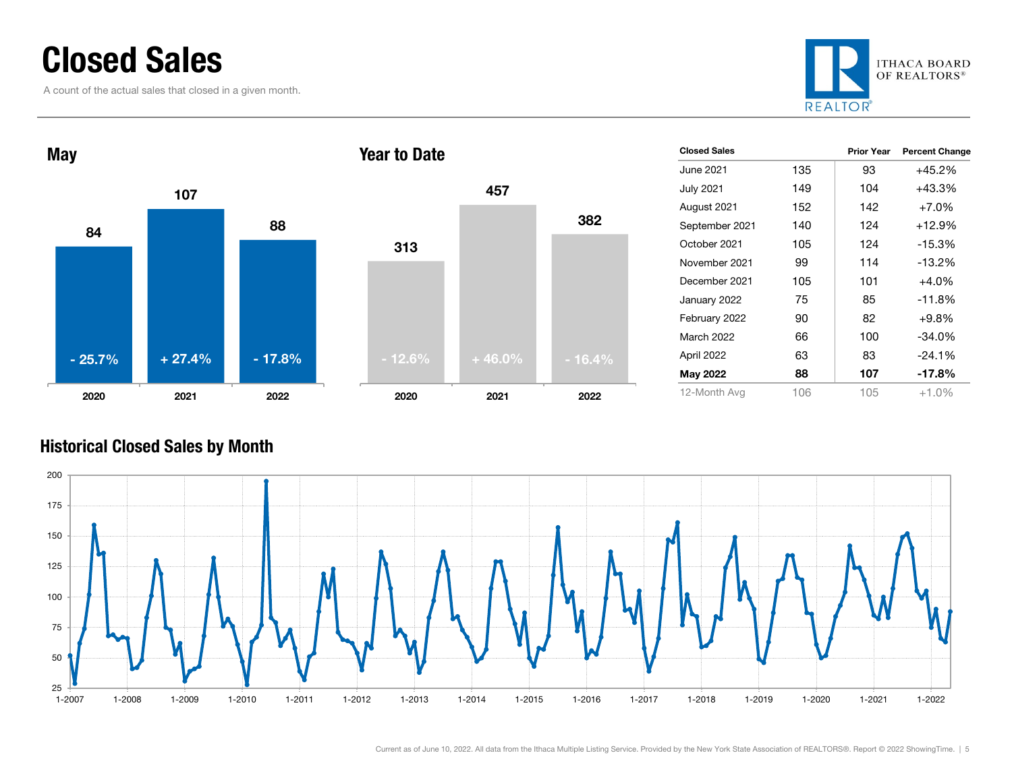### Closed Sales

A count of the actual sales that closed in a given month.





| <b>Closed Sales</b> |     | <b>Prior Year</b> | <b>Percent Change</b> |
|---------------------|-----|-------------------|-----------------------|
| June 2021           | 135 | 93                | $+45.2%$              |
| <b>July 2021</b>    | 149 | 104               | $+43.3%$              |
| August 2021         | 152 | 142               | $+7.0%$               |
| September 2021      | 140 | 124               | $+12.9%$              |
| October 2021        | 105 | 124               | $-15.3%$              |
| November 2021       | 99  | 114               | $-13.2%$              |
| December 2021       | 105 | 101               | $+4.0%$               |
| January 2022        | 75  | 85                | $-11.8%$              |
| February 2022       | 90  | 82                | $+9.8%$               |
| <b>March 2022</b>   | 66  | 100               | $-34.0%$              |
| April 2022          | 63  | 83                | $-24.1%$              |
| <b>May 2022</b>     | 88  | 107               | $-17.8%$              |
| 12-Month Avg        | 106 | 105               | $+1.0%$               |

### Historical Closed Sales by Month



382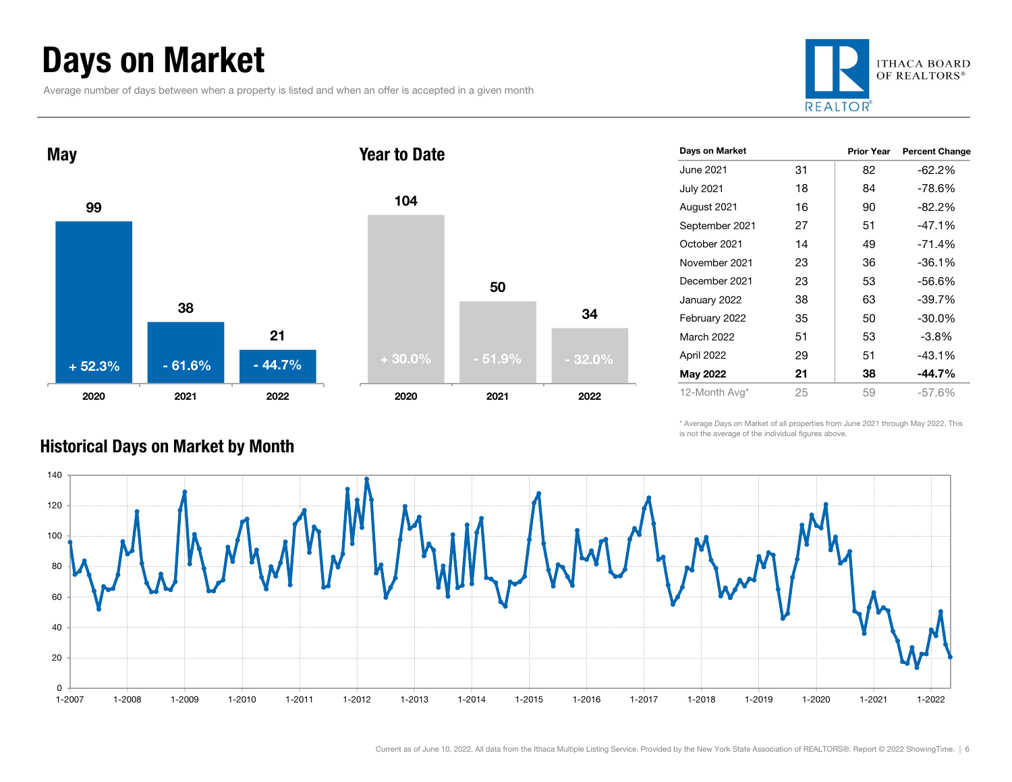### Days on Market

Average number of days between when a property is listed and when an offer is accepted in a given month





| Days on Market   |    | Prior Year | <b>Percent Change</b> |
|------------------|----|------------|-----------------------|
| June 2021.       | 31 | 82         | -62.2%                |
| <b>July 2021</b> | 18 | 84         | $-78.6%$              |
| August 2021      | 16 | 90         | $-82.2%$              |
| September 2021   | 27 | 51         | $-47.1%$              |
| October 2021     | 14 | 49         | $-71.4%$              |
| November 2021    | 23 | 36         | $-36.1%$              |
| December 2021    | 23 | 53         | -56.6%                |
| January 2022     | 38 | 63         | $-39.7%$              |
| February 2022    | 35 | 50         | $-30.0\%$             |
| March 2022       | 51 | 53         | -3.8%                 |
| April 2022       | 29 | 51         | $-43.1%$              |
| May 2022         | 21 | 38         | $-44.7\%$             |
| 12-Month Avg*    | 25 | 59         | $-57.6\%$             |

\* Average Days on Market of all properties from June 2021 through May 2022. This is not the average of the individual figures above.



34

### Historical Days on Market by Month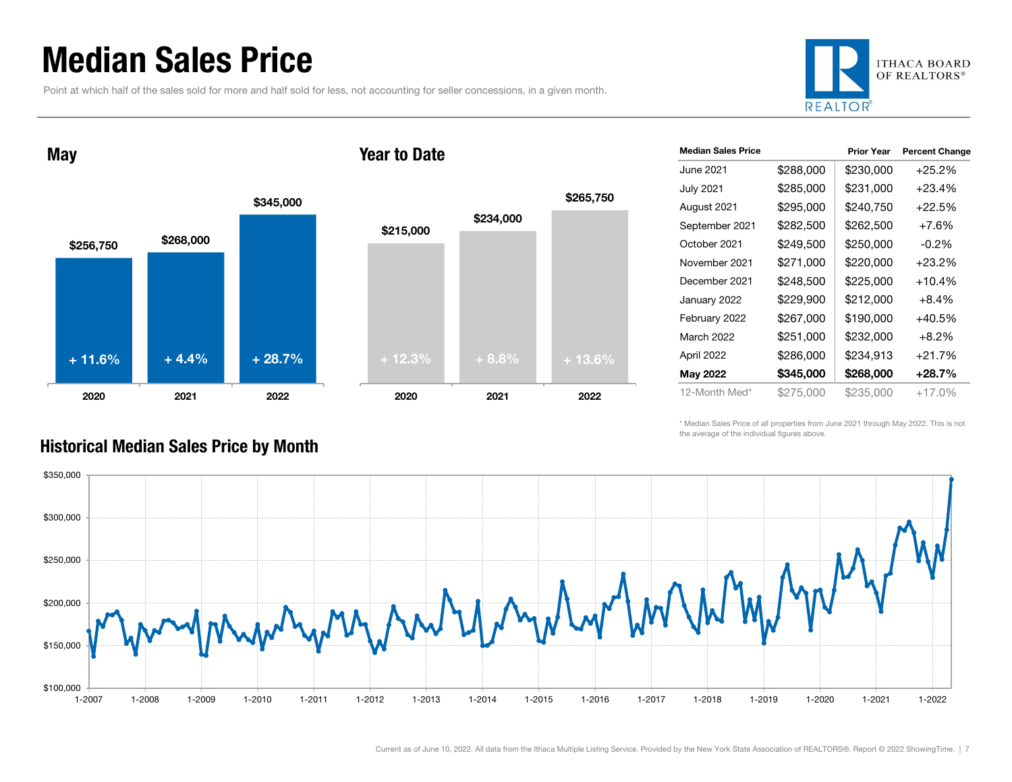### Median Sales Price

Point at which half of the sales sold for more and half sold for less, not accounting for seller concessions, in a given month.



May





| <b>Median Sales Price</b> |           | <b>Prior Year</b> | <b>Percent Change</b> |
|---------------------------|-----------|-------------------|-----------------------|
| June 2021.                | \$288,000 | \$230,000         | $+25.2%$              |
| <b>July 2021</b>          | \$285,000 | \$231,000         | $+23.4%$              |
| August 2021               | \$295,000 | \$240,750         | $+22.5%$              |
| September 2021            | \$282,500 | \$262,500         | $+7.6%$               |
| October 2021              | \$249,500 | \$250,000         | $-0.2\%$              |
| November 2021             | \$271,000 | \$220,000         | $+23.2%$              |
| December 2021             | \$248,500 | \$225,000         | $+10.4%$              |
| January 2022              | \$229,900 | \$212,000         | $+8.4\%$              |
| February 2022             | \$267,000 | \$190,000         | +40.5%                |
| March 2022                | \$251,000 | \$232,000         | $+8.2%$               |
| April 2022                | \$286,000 | \$234,913         | $+21.7%$              |
| May 2022                  | \$345,000 | \$268,000         | $+28.7%$              |
| 12-Month Med*             | \$275,000 | \$235,000         | $+17.0%$              |

\* Median Sales Price of all properties from June 2021 through May 2022. This is not the average of the individual figures above.



#### Historical Median Sales Price by Month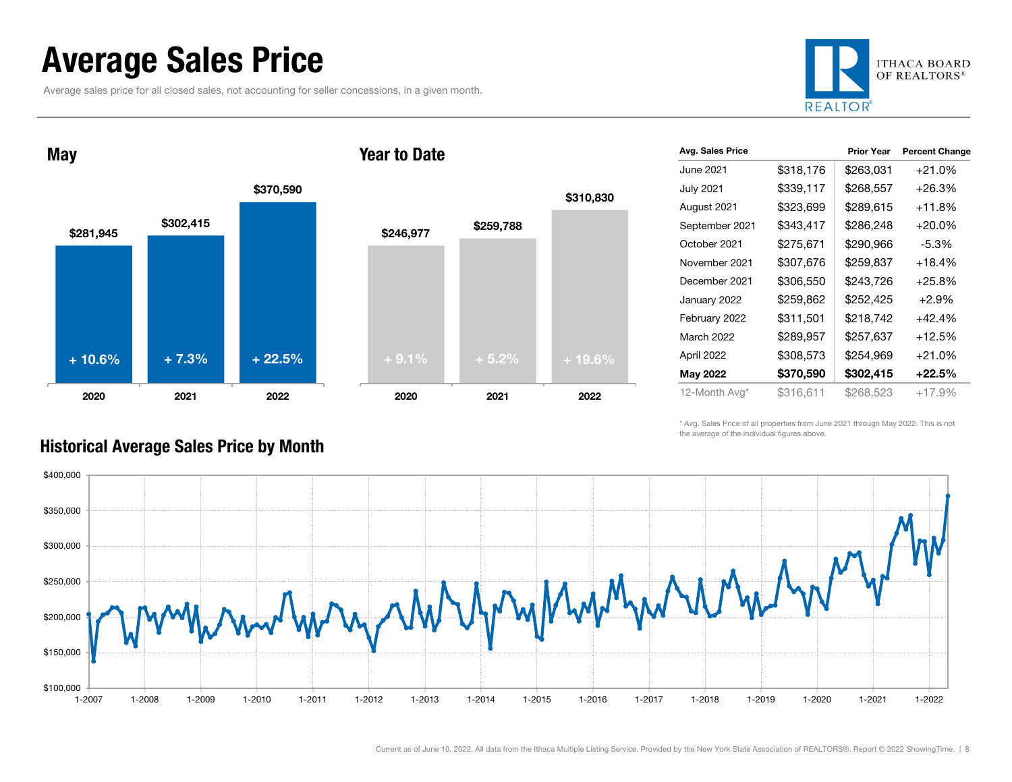### Average Sales Price

May

Average sales price for all closed sales, not accounting for seller concessions, in a given month.



 $$302,415$ <br> $$281.945$ \$370,590 2020 2021 2022 \$246,977 \$259,788 2020 2021 2022 + 10.6% $\%$  + 7.3% + 22.5% + 9.1% + 5.2% + 19.6%

Year to Date

| Avg. Sales Price |           | <b>Prior Year</b> | <b>Percent Change</b> |
|------------------|-----------|-------------------|-----------------------|
| June 2021        | \$318,176 | \$263,031         | $+21.0%$              |
| <b>July 2021</b> | \$339,117 | \$268,557         | $+26.3%$              |
| August 2021      | \$323,699 | \$289,615         | $+11.8%$              |
| September 2021   | \$343,417 | \$286,248         | $+20.0%$              |
| October 2021     | \$275,671 | \$290,966         | -5.3%                 |
| November 2021    | \$307,676 | \$259,837         | $+18.4%$              |
| December 2021    | \$306,550 | \$243,726         | $+25.8\%$             |
| January 2022     | \$259,862 | \$252,425         | $+2.9%$               |
| February 2022    | \$311,501 | \$218,742         | $+42.4%$              |
| March 2022       | \$289,957 | \$257,637         | $+12.5%$              |
| April 2022       | \$308,573 | \$254,969         | $+21.0%$              |
| May 2022         | \$370,590 | \$302,415         | +22.5%                |
| 12-Month Avg*    | \$316,611 | \$268,523         | $+17.9%$              |
|                  |           |                   |                       |

\* Avg. Sales Price of all properties from June 2021 through May 2022. This is not the average of the individual figures above.



\$310,830

#### Historical Average Sales Price by Month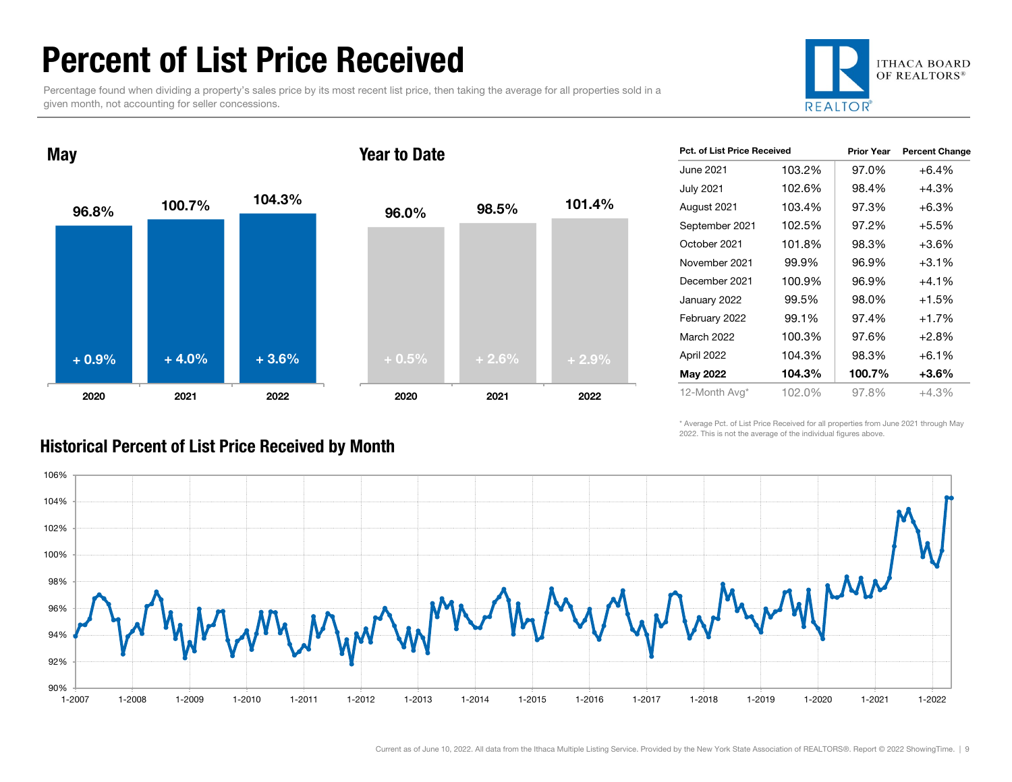### Percent of List Price Received

Percentage found when dividing a property's sales price by its most recent list price, then taking the average for all properties sold in a given month, not accounting for seller concessions.





| <b>Pct. of List Price Received</b> |        | <b>Prior Year</b> | <b>Percent Change</b> |
|------------------------------------|--------|-------------------|-----------------------|
| June 2021.                         | 103.2% | 97.0%             | $+6.4%$               |
| July 2021                          | 102.6% | 98.4%             | $+4.3%$               |
| August 2021                        | 103.4% | 97.3%             | $+6.3%$               |
| September 2021                     | 102.5% | 97.2%             | $+5.5%$               |
| October 2021                       | 101.8% | 98.3%             | $+3.6%$               |
| November 2021                      | 99.9%  | 96.9%             | $+3.1%$               |
| December 2021                      | 100.9% | 96.9%             | $+4.1%$               |
| January 2022                       | 99.5%  | 98.0%             | $+1.5%$               |
| February 2022                      | 99.1%  | 97.4%             | $+1.7%$               |
| March 2022                         | 100.3% | 97.6%             | $+2.8%$               |
| April 2022                         | 104.3% | 98.3%             | $+6.1%$               |
| May 2022                           | 104.3% | 100.7%            | +3.6%                 |
| 12-Month Avg*                      | 102.0% | 97.8%             | $+4.3%$               |

\* Average Pct. of List Price Received for all properties from June 2021 through May 2022. This is not the average of the individual figures above.



### Historical Percent of List Price Received by Month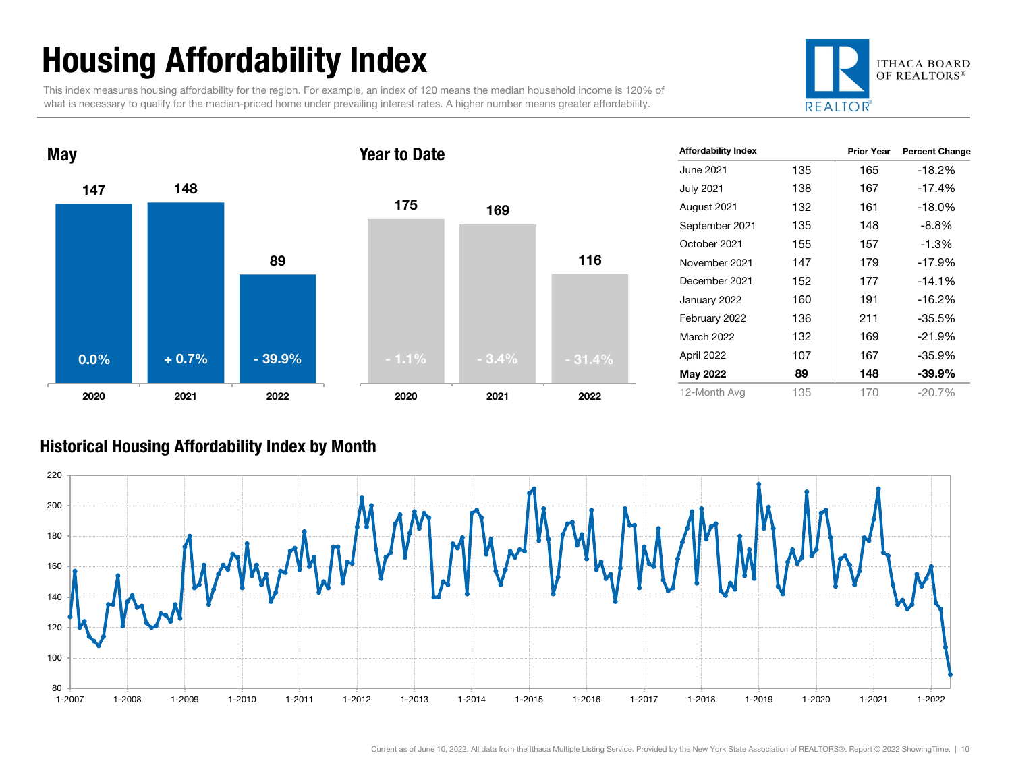## Housing Affordability Index

This index measures housing affordability for the region. For example, an index of 120 means the median household income is 120% of what is necessary to qualify for the median-priced home under prevailing interest rates. A higher number means greater affordability.





| <b>Affordability Index</b> |     | <b>Prior Year</b> | <b>Percent Change</b> |
|----------------------------|-----|-------------------|-----------------------|
| June 2021                  | 135 | 165               | $-18.2%$              |
| July 2021                  | 138 | 167               | $-17.4%$              |
| August 2021                | 132 | 161               | $-18.0\%$             |
| September 2021             | 135 | 148               | $-8.8%$               |
| October 2021               | 155 | 157               | $-1.3%$               |
| November 2021              | 147 | 179               | $-17.9%$              |
| December 2021              | 152 | 177               | $-14.1%$              |
| January 2022               | 160 | 191               | $-16.2%$              |
| February 2022              | 136 | 211               | $-35.5%$              |
| <b>March 2022</b>          | 132 | 169               | $-21.9%$              |
| April 2022                 | 107 | 167               | $-35.9%$              |
| May 2022                   | 89  | 148               | $-39.9\%$             |
| 12-Month Avg               | 135 | 170               | $-20.7\%$             |

#### Historical Housing Affordability Index by Mont h

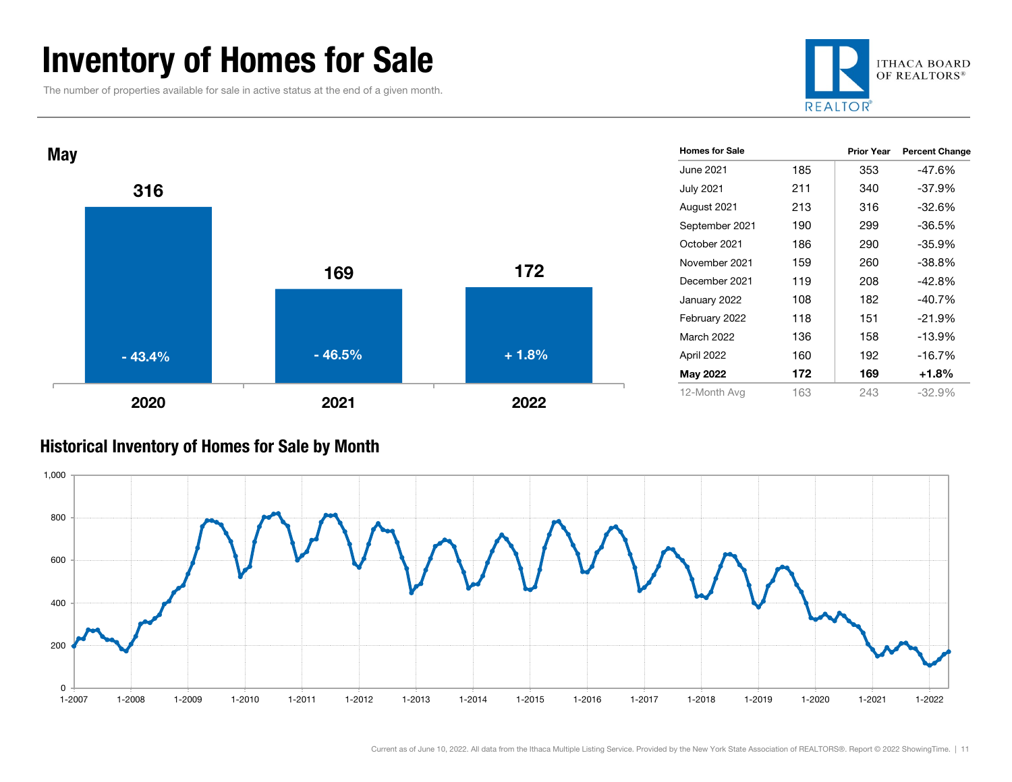### Inventory of Homes for Sale

The number of properties available for sale in active status at the end of a given month.





#### Historical Inventory of Homes for Sale by Month

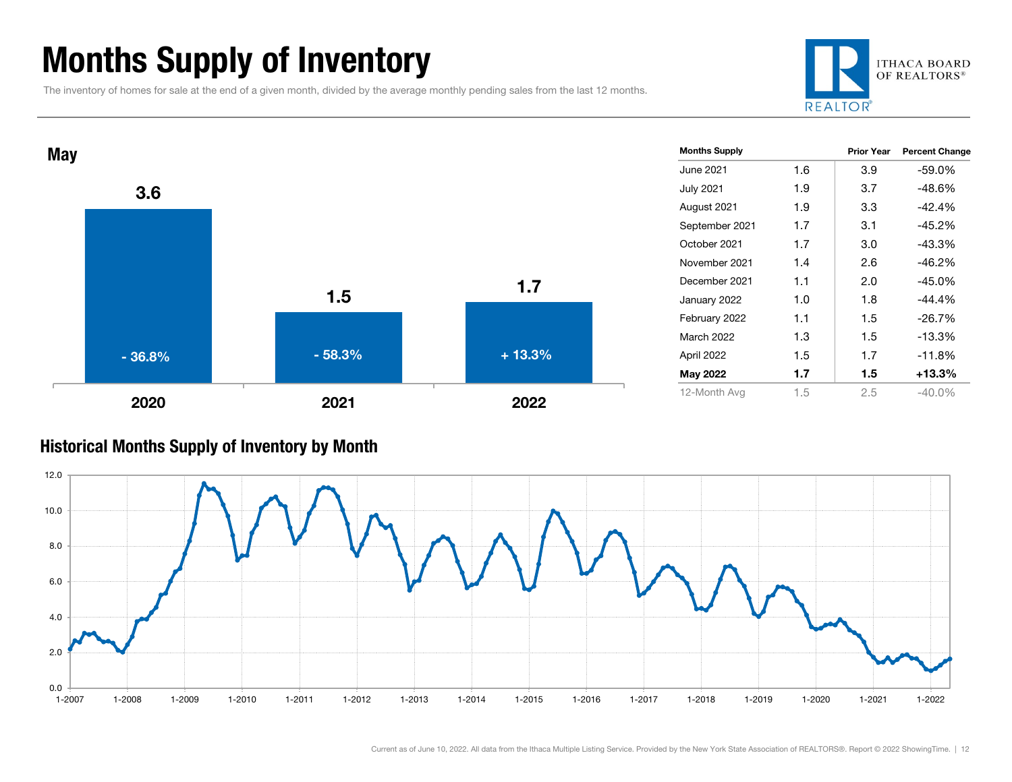### Months Supply of Inventory

The inventory of homes for sale at the end of a given month, divided by the average monthly pending sales from the last 12 months.





#### Historical Months Supply of Inventory by Month

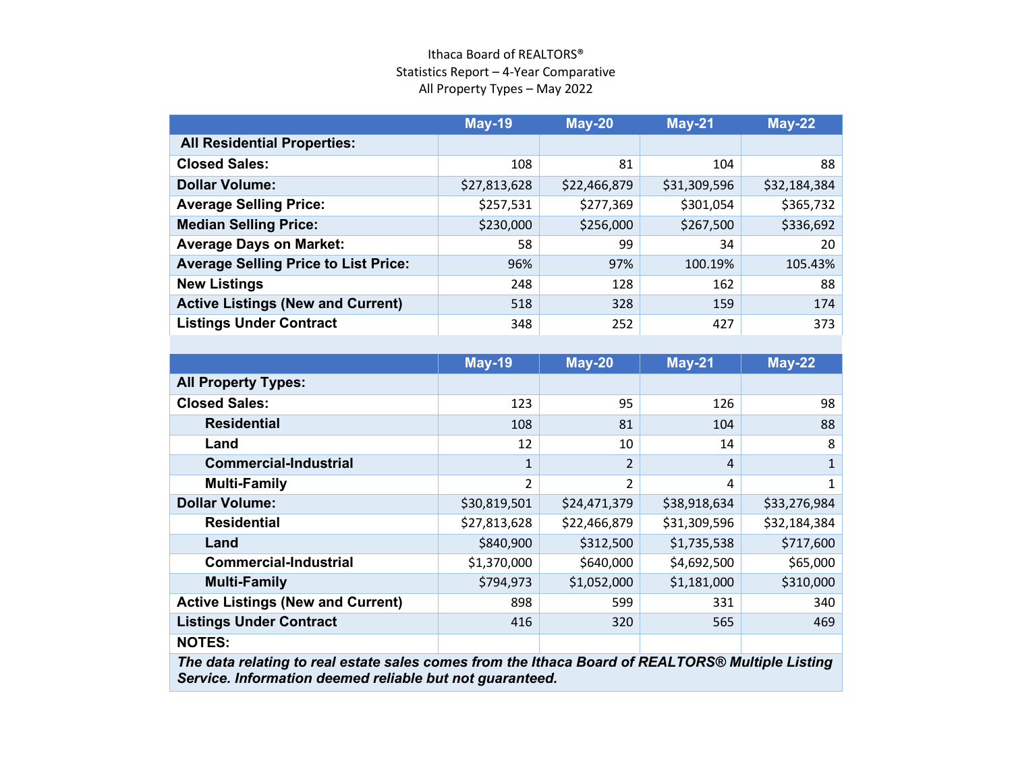#### Ithaca Board of REALTORS® Statistics Report – 4-Year Comparative All Property Types – May 2022

|                                             | <b>May-19</b> | <b>May-20</b> | <b>May-21</b> | <b>May-22</b> |
|---------------------------------------------|---------------|---------------|---------------|---------------|
| <b>All Residential Properties:</b>          |               |               |               |               |
| <b>Closed Sales:</b>                        | 108           | 81            | 104           | 88            |
| <b>Dollar Volume:</b>                       | \$27,813,628  | \$22,466,879  | \$31,309,596  | \$32,184,384  |
| <b>Average Selling Price:</b>               | \$257,531     | \$277,369     | \$301,054     | \$365,732     |
| <b>Median Selling Price:</b>                | \$230,000     | \$256,000     | \$267,500     | \$336,692     |
| <b>Average Days on Market:</b>              | 58            | 99            | 34            | 20            |
| <b>Average Selling Price to List Price:</b> | 96%           | 97%           | 100.19%       | 105.43%       |
| <b>New Listings</b>                         | 248           | 128           | 162           | 88            |
| <b>Active Listings (New and Current)</b>    | 518           | 328           | 159           | 174           |
| <b>Listings Under Contract</b>              | 348           | 252           | 427           | 373           |

|                                          | <b>May-19</b>  | <b>May-20</b>  | <b>May-21</b> | $May-22$     |
|------------------------------------------|----------------|----------------|---------------|--------------|
| <b>All Property Types:</b>               |                |                |               |              |
| <b>Closed Sales:</b>                     | 123            | 95             | 126           | 98           |
| <b>Residential</b>                       | 108            | 81             | 104           | 88           |
| Land                                     | 12             | 10             | 14            | 8            |
| <b>Commercial-Industrial</b>             | 1              | $\overline{2}$ | 4             |              |
| <b>Multi-Family</b>                      | $\overline{2}$ | 2              | 4             | 1            |
| <b>Dollar Volume:</b>                    | \$30,819,501   | \$24,471,379   | \$38,918,634  | \$33,276,984 |
| <b>Residential</b>                       | \$27,813,628   | \$22,466,879   | \$31,309,596  | \$32,184,384 |
| Land                                     | \$840,900      | \$312,500      | \$1,735,538   | \$717,600    |
| <b>Commercial-Industrial</b>             | \$1,370,000    | \$640,000      | \$4,692,500   | \$65,000     |
| <b>Multi-Family</b>                      | \$794,973      | \$1,052,000    | \$1,181,000   | \$310,000    |
| <b>Active Listings (New and Current)</b> | 898            | 599            | 331           | 340          |
| <b>Listings Under Contract</b>           | 416            | 320            | 565           | 469          |
| <b>NOTES:</b>                            |                |                |               |              |

*The data relating to real estate sales comes from the Ithaca Board of REALTORS® Multiple Listing Service. Information deemed reliable but not guaranteed.*